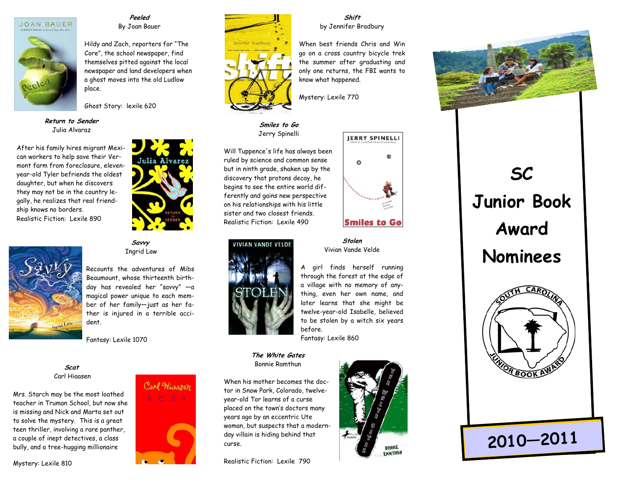# **JOAN BAUER**



**Peeled** By Joan Bauer

Hildy and Zach, reporters for "The Core", the school newspaper, find themselves pitted against the local newspaper and land developers when a ghost moves into the old Ludlow place.

Julia Alvare:

Ghost Story: lexile 620

**Return to Sender**Julia Alvaraz

After his family hires migrant Mexican workers to help save their Vermont farm from foreclosure, elevenyear-old Tyler befriends the oldest daughter, but when he discovers they may not be in the country legally, he realizes that real friendship knows no borders. Realistic Fiction: Lexile 890



## **Savvy**  Ingrid Law

Recounts the adventures of Mibs Beaumount, whose thirteenth birthday has revealed her "savvy" —a magical power unique to each member of her family—just as her father is injured in a terrible accident.

Carl Miaasen

Fantasy: Lexile 1070

**Scat** Carl Hiaasen

Mrs. Starch may be the most loathed teacher in Truman School, but now she is missing and Nick and Marta set out to solve the mystery. This is a great teen thriller, involving a rare panther, a couple of inept detectives, a class bully, and a tree-hugging millionaire

Mystery: Lexile 810



# **Shift** by Jennifer Bradbury

When best friends Chris and Win go on a cross country bicycle trek the summer after graduating and only one returns, the FBI wants to know what happened.

**JERRY SPINELLI** 

**Smiles to Go** 

Mystery: Lexile 770

**Smiles to Go**Jerry Spinelli

Will Tuppence's life has always been ruled by science and common sense but in ninth grade, shaken up by the discovery that protons decay, he begins to see the entire world differently and gains new perspective on his relationships with his little sister and two closest friends. Realistic Fiction: Lexile 490



**Stolen** Vivian Vande Velde

A girl finds herself running through the forest at the edge of a village with no memory of anything, even her own name, and later learns that she might be twelve-year-old Isabelle, believed to be stolen by a witch six years before.

Fantasy: Lexile 860

**The White Gates**Bonnie Ramthun

When his mother becomes the doctor in Snow Park, Colorado, twelveyear-old Tor learns of a curse placed on the town's doctors many years ago by an eccentric Ute woman, but suspects that a modernday villain is hiding behind that curse.

Realistic Fiction: Lexile 790